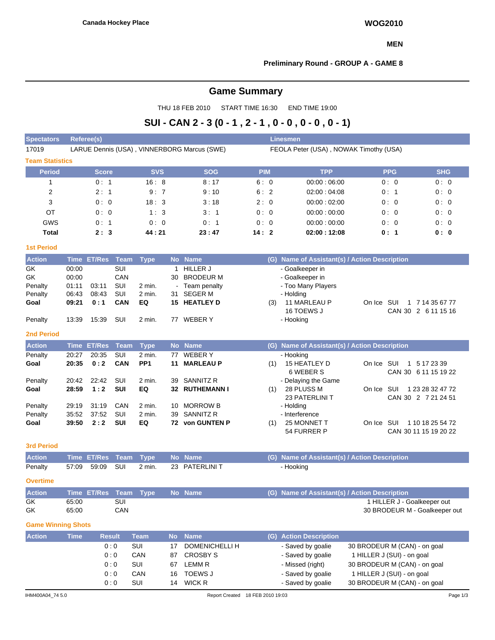#### **MEN**

### **Preliminary Round - GROUP A - GAME 8**

# **Game Summary**

THU 18 FEB 2010 START TIME 16:30 END TIME 19:00

# **SUI - CAN 2 - 3 (0 - 1 , 2 - 1 , 0 - 0 , 0 - 0 , 0 - 1)**

| <b>Spectators</b>         |                | Referee(s)       |                   |                 |              |                                             |            |      | <b>Linesmen</b>                               |                                |            |
|---------------------------|----------------|------------------|-------------------|-----------------|--------------|---------------------------------------------|------------|------|-----------------------------------------------|--------------------------------|------------|
| 17019                     |                |                  |                   |                 |              | LARUE Dennis (USA), VINNERBORG Marcus (SWE) |            |      | FEOLA Peter (USA), NOWAK Timothy (USA)        |                                |            |
| <b>Team Statistics</b>    |                |                  |                   |                 |              |                                             |            |      |                                               |                                |            |
| <b>Period</b>             |                | <b>Score</b>     |                   | <b>SVS</b>      |              | <b>SOG</b>                                  | <b>PIM</b> |      | <b>TPP</b>                                    | <b>PPG</b>                     | <b>SHG</b> |
| 1                         |                | 0: 1             |                   | 16:8            |              | 8:17                                        |            | 6: 0 | 00:00:06:00                                   | 0:0                            | 0:0        |
| $\overline{c}$            |                | 2:1              |                   | 9:7             |              | 9:10                                        |            | 6:2  | 02:00:04:08                                   | 0:1                            | 0:0        |
| 3                         |                | 0:0              |                   | 18:3            |              | 3:18                                        |            | 2:0  | 00:00:02:00                                   | 0:0                            | 0:0        |
| OT                        |                | 0:0              |                   | 1:3             |              | 3:1                                         |            | 0:0  | 00:00:00:00                                   | 0:0                            | 0:0        |
| GWS                       |                | 0:1              |                   | 0:0             |              | 0:1                                         |            | 0:0  | 00:00:00:00                                   | 0:0                            | 0:0        |
| <b>Total</b>              |                | 2:3              |                   | 44:21           |              | 23:47                                       | 14:2       |      | 02:00:12:08                                   | 0: 1                           | 0: 0       |
| <b>1st Period</b>         |                |                  |                   |                 |              |                                             |            |      |                                               |                                |            |
| <b>Action</b>             |                | Time ET/Res Team |                   | <b>Type</b>     |              | No Name                                     |            |      | (G) Name of Assistant(s) / Action Description |                                |            |
| GK                        | 00:00          |                  | SUI               |                 | $\mathbf{1}$ | <b>HILLER J</b>                             |            |      | - Goalkeeper in                               |                                |            |
| GK                        | 00:00          |                  | CAN               |                 | 30           | <b>BRODEUR M</b>                            |            |      | - Goalkeeper in                               |                                |            |
| Penalty                   | 01:11          | 03:11            | SUI               | 2 min.          |              | Team penalty                                |            |      | - Too Many Players                            |                                |            |
| Penalty                   | 06:43          | 08:43            | SUI               | 2 min.          | 31.          | <b>SEGER M</b>                              |            |      | - Holding                                     |                                |            |
| Goal                      | 09:21          | 0:1              | CAN               | EQ              |              | 15 HEATLEY D                                |            | (3)  | 11 MARLEAU P                                  | On Ice SUI<br>1 7 14 35 67 77  |            |
|                           |                |                  |                   |                 |              |                                             |            |      | 16 TOEWS J                                    | CAN 30 2 6 11 15 16            |            |
| Penalty                   | 13:39          | 15:39            | SUI               | 2 min.          |              | 77 WEBER Y                                  |            |      | - Hooking                                     |                                |            |
| <b>2nd Period</b>         |                |                  |                   |                 |              |                                             |            |      |                                               |                                |            |
| <b>Action</b>             | <b>Time</b>    | <b>ET/Res</b>    | Team              | <b>Type</b>     |              | No Name                                     |            |      | (G) Name of Assistant(s) / Action Description |                                |            |
| Penalty                   | 20:27          | 20:35            | SUI               | 2 min.          | 77           | <b>WEBERY</b>                               |            |      | - Hooking                                     |                                |            |
| Goal                      | 20:35          | 0:2              | CAN               | PP <sub>1</sub> | 11           | <b>MARLEAU P</b>                            |            | (1)  | 15 HEATLEY D                                  | On Ice SUI<br>1 5 17 23 39     |            |
|                           |                |                  |                   |                 |              |                                             |            |      | 6 WEBER S                                     | CAN 30 6 11 15 19 22           |            |
| Penalty<br>Goal           | 20:42<br>28:59 | 22:42<br>1:2     | SUI<br><b>SUI</b> | 2 min.<br>EQ    | 39           | <b>SANNITZ R</b><br>32 RUTHEMANN I          |            | (1)  | - Delaying the Game<br>28 PLUSS M             | On Ice SUI<br>1 23 28 32 47 72 |            |
|                           |                |                  |                   |                 |              |                                             |            |      | 23 PATERLINI T                                | CAN 30 2 7 21 24 51            |            |
| Penalty                   | 29:19          | 31:19            | CAN               | 2 min.          | 10           | <b>MORROW B</b>                             |            |      | - Holding                                     |                                |            |
| Penalty                   | 35:52          | 37:52            | SUI               | 2 min.          | 39           | SANNITZ R                                   |            |      | - Interference                                |                                |            |
| Goal                      | 39:50          | 2:2              | SUI               | EQ              |              | 72 von GUNTEN P                             |            | (1)  | 25 MONNET T                                   | On Ice SUI<br>1 10 18 25 54 72 |            |
|                           |                |                  |                   |                 |              |                                             |            |      | 54 FURRER P                                   | CAN 30 11 15 19 20 22          |            |
| <b>3rd Period</b>         |                |                  |                   |                 |              |                                             |            |      |                                               |                                |            |
| <b>Action</b>             | <b>Time</b>    | <b>ET/Res</b>    | <b>Team</b>       | <b>Type</b>     |              | No Name                                     |            |      | (G) Name of Assistant(s) / Action Description |                                |            |
| Penalty                   | 57:09          | 59:09            | SUI               | 2 min.          |              | 23 PATERLINI T                              |            |      | - Hooking                                     |                                |            |
| <b>Overtime</b>           |                |                  |                   |                 |              |                                             |            |      |                                               |                                |            |
| <b>Action</b>             |                | Time ET/Res      | Team              | <b>Type</b>     |              | No Name                                     |            | (G)  | Name of Assistant(s) / Action Description     |                                |            |
| GK                        | 65:00          |                  | SUI               |                 |              |                                             |            |      |                                               | 1 HILLER J - Goalkeeper out    |            |
| GK                        | 65:00          |                  | CAN               |                 |              |                                             |            |      |                                               | 30 BRODEUR M - Goalkeeper out  |            |
| <b>Game Winning Shots</b> |                |                  |                   |                 |              |                                             |            |      |                                               |                                |            |
| <b>Action</b>             | <b>Time</b>    | <b>Result</b>    |                   | <b>Team</b>     | <b>No</b>    | <b>Name</b>                                 |            |      | (G) Action Description                        |                                |            |
|                           |                |                  | 0:0               | SUI             | 17           | DOMENICHELLI H                              |            |      | - Saved by goalie                             | 30 BRODEUR M (CAN) - on goal   |            |
|                           |                |                  | 0:0               | CAN             | 87           | <b>CROSBY S</b>                             |            |      | - Saved by goalie                             | 1 HILLER J (SUI) - on goal     |            |
|                           |                |                  | 0:0               | SUI             | 67           | <b>LEMM R</b>                               |            |      | - Missed (right)                              | 30 BRODEUR M (CAN) - on goal   |            |
|                           |                |                  | 0:0               | CAN             | 16           | TOEWS J                                     |            |      | - Saved by goalie                             | 1 HILLER J (SUI) - on goal     |            |
|                           |                |                  | 0:0               | SUI             | 14           | <b>WICK R</b>                               |            |      | - Saved by goalie                             | 30 BRODEUR M (CAN) - on goal   |            |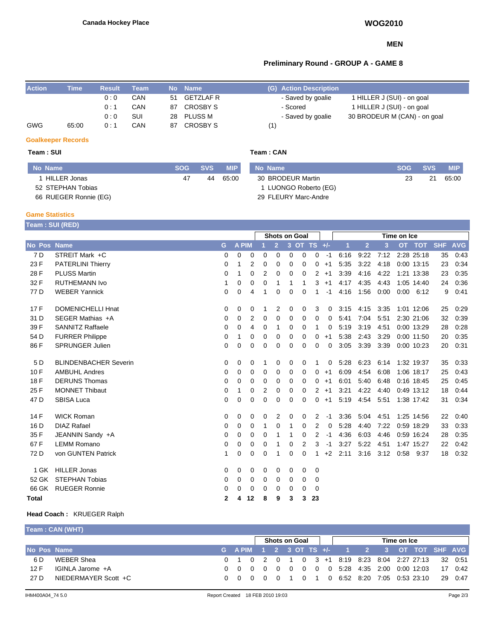#### **MEN**

## **Preliminary Round - GROUP A - GAME 8**

| <b>Action</b> | Time  | Result | Team |    | No Name        |     | (G) Action Description |                              |
|---------------|-------|--------|------|----|----------------|-----|------------------------|------------------------------|
|               |       | 0:0    | CAN  | 51 | GETZLAF R      |     | - Saved by goalie      | 1 HILLER J (SUI) - on goal   |
|               |       | 0:1    | CAN  | 87 | CROSBY S       |     | - Scored               | 1 HILLER J (SUI) - on goal   |
|               |       | 0:0    | SUI  | 28 | <b>PLUSS M</b> |     | - Saved by goalie      | 30 BRODEUR M (CAN) - on goal |
| <b>GWG</b>    | 65:00 | 0 : 1  | CAN  | 87 | CROSBY S       | (1) |                        |                              |

#### **Goalkeeper Records**

### **Team : SUI Team : CAN**

| No Name               |    | SOG SVS | <b>MIP</b> | No Name               | <b>SOG</b> | <b>SVS</b> | <b>MIP</b> |
|-----------------------|----|---------|------------|-----------------------|------------|------------|------------|
| HILLER Jonas          | 47 | 44      | 65:00      | 30 BRODEUR Martin     | 23         | 21         | 65:00      |
| 52 STEPHAN Tobias     |    |         |            | 1 LUONGO Roberto (EG) |            |            |            |
| 66 RUEGER Ronnie (EG) |    |         |            | 29 FLEURY Marc-Andre  |            |            |            |

#### **Game Statistics**

| <b>Team : SUI (RED)</b> |                              |             |              |    |             |                      |                |          |                |             |      |                |      |           |             |            |            |
|-------------------------|------------------------------|-------------|--------------|----|-------------|----------------------|----------------|----------|----------------|-------------|------|----------------|------|-----------|-------------|------------|------------|
|                         |                              |             |              |    |             | <b>Shots on Goal</b> |                |          |                |             |      |                |      |           |             |            |            |
| No Pos Name             |                              | G           | <b>A PIM</b> |    |             | $\overline{2}$       | 3 <sup>2</sup> |          | OT TS $+/-$    |             | 1    | $\overline{2}$ | 3    | <b>OT</b> | <b>TOT</b>  | <b>SHF</b> | <b>AVG</b> |
| 7 D                     | STREIT Mark +C               | 0           | 0            | 0  | $\mathbf 0$ | 0                    | 0              | 0        | 0              | $-1$        | 6:16 | 9:22           | 7:12 |           | 2:28 25:18  | 35         | 0.43       |
| 23 F                    | <b>PATERLINI Thierry</b>     | $\Omega$    | 1            | 2  | 0           | $\Omega$             | $\Omega$       | $\Omega$ | 0              | $+1$        | 5:35 | 3:22           | 4:18 |           | 0:00 13:15  | 23         | 0:34       |
| 28 F                    | <b>PLUSS Martin</b>          | 0           | 1            | 0  | 2           | 0                    | 0              | 0        | 2              | $+1$        | 3:39 | 4:16           | 4:22 |           | 1:21 13:38  | 23         | 0:35       |
| 32 F                    | <b>RUTHEMANN Ivo</b>         | 1           | 0            | 0  | 0           |                      | 1              | 1        | 3              | $+1$        | 4:17 | 4:35           | 4.43 |           | 1:05 14:40  | 24         | 0:36       |
| 77 D                    | <b>WEBER Yannick</b>         | 0           | 0            | 4  | 1           | 0                    | 0              | $\Omega$ | 1              | $-1$        | 4:16 | 1:56           | 0:00 |           | $0:00$ 6:12 | 9          | 0:41       |
| 17F                     | <b>DOMENICHELLI Hnat</b>     | 0           | 0            | 0  | 1           | 2                    | 0              | 0        | 3              | 0           | 3:15 | 4:15           | 3:35 |           | 1:01 12:06  | 25         | 0:29       |
| 31 D                    | SEGER Mathias +A             | 0           | 0            | 2  | 0           | $\Omega$             | 0              | $\Omega$ | $\Omega$       | 0           | 5:41 | 7:04           | 5:51 |           | 2:30 21:06  | 32         | 0:39       |
| 39 F                    | <b>SANNITZ Raffaele</b>      | $\mathbf 0$ | 0            | 4  | $\mathbf 0$ | 1                    | $\mathbf 0$    | $\Omega$ | 1              | $\mathbf 0$ | 5:19 | 3:19           | 4:51 |           | 0:00 13:29  | 28         | 0:28       |
| 54 D                    | <b>FURRER Philippe</b>       | 0           | 1            | 0  | 0           | 0                    | 0              | 0        | 0              | $+1$        | 5:38 | 2:43           | 3:29 |           | 0:00 11:50  | 20         | 0:35       |
| 86 F                    | <b>SPRUNGER Julien</b>       | $\mathbf 0$ | 0            | 0  | $\Omega$    | 0                    | 0              | 0        | $\Omega$       | $\Omega$    | 3:05 | 3:39           | 3:39 |           | 0:00 10:23  | 20         | 0:31       |
| 5 D                     | <b>BLINDENBACHER Severin</b> | 0           | 0            | 0  | 1           | 0                    | 0              | 0        | 1              | 0           | 5:28 | 6:23           | 6:14 |           | 1:32 19:37  | 35         | 0:33       |
| 10F                     | <b>AMBUHL Andres</b>         | 0           | 0            | 0  | 0           | $\Omega$             | $\Omega$       | $\Omega$ | $\Omega$       | $+1$        | 6:09 | 4:54           | 6:08 |           | 1:06 18:17  | 25         | 0:43       |
| 18 F                    | <b>DERUNS Thomas</b>         | 0           | 0            | 0  | 0           | 0                    | 0              | 0        | 0              | $+1$        | 6:01 | 5:40           | 6:48 |           | 0:16 18:45  | 25         | 0:45       |
| 25 F                    | <b>MONNET Thibaut</b>        | 0           | 1            | 0  | 2           | 0                    | 0              | $\Omega$ | $\overline{2}$ | $+1$        | 3:21 | 4:22           | 4:40 |           | 0:49 13:12  | 18         | 0:44       |
| 47 <sub>D</sub>         | <b>SBISA Luca</b>            | $\mathbf 0$ | 0            | 0  | 0           | 0                    | 0              | $\Omega$ | 0              | $+1$        | 5:19 | 4:54           | 5:51 |           | 1:38 17:42  | 31         | 0:34       |
| 14 F                    | <b>WICK Roman</b>            | 0           | 0            | 0  | 0           | 2                    | 0              | 0        | 2              | $-1$        | 3:36 | 5:04           | 4:51 |           | 1:25 14:56  | 22         | 0:40       |
| 16 D                    | <b>DIAZ Rafael</b>           | 0           | 0            | 0  | 1           | $\Omega$             | 1              | $\Omega$ | $\overline{2}$ | $\mathbf 0$ | 5:28 | 4:40           | 7:22 |           | 0:59 18:29  | 33         | 0.33       |
| 35 F                    | JEANNIN Sandy +A             | 0           | 0            | 0  | 0           |                      | 1              | 0        | 2              | $-1$        | 4:36 | 6:03           | 4:46 |           | 0:59 16:24  | 28         | 0:35       |
| 67 F                    | <b>LEMM Romano</b>           | 0           | 0            | 0  | 0           | 1                    | 0              | 2        | 3              | $-1$        | 3:27 | 5:22           | 4:51 |           | 1:47 15:27  | 22         | 0:42       |
| 72 D                    | von GUNTEN Patrick           | 1           | 0            | 0  | 0           |                      | 0              | $\Omega$ | 1              | $+2$        | 2:11 | 3:16           | 3:12 |           | 0:58 9:37   | 18         | 0:32       |
| 1 GK                    | <b>HILLER Jonas</b>          | 0           | 0            | 0  | 0           | 0                    | 0              | 0        | 0              |             |      |                |      |           |             |            |            |
| 52 GK                   | <b>STEPHAN Tobias</b>        | 0           | 0            | 0  | 0           | 0                    | 0              | 0        | 0              |             |      |                |      |           |             |            |            |
| 66 GK                   | <b>RUEGER Ronnie</b>         | 0           | 0            | 0  | 0           | 0                    | 0              | 0        | 0              |             |      |                |      |           |             |            |            |
| <b>Total</b>            |                              | 2           | 4            | 12 | 8           | 9                    | 3              | 3        | 23             |             |      |                |      |           |             |            |            |

#### **Head Coach :** KRUEGER Ralph

**Team : CAN (WHT)**

|             |                      |  | Shots on Goal<br>Time on Ice |  |  |  |  |  |  |  |  |                                                         |  |
|-------------|----------------------|--|------------------------------|--|--|--|--|--|--|--|--|---------------------------------------------------------|--|
| No Pos Name |                      |  |                              |  |  |  |  |  |  |  |  | $^{\prime}$ G APIM 1 2 3 OT TS +/- 1 2 3 OT TOT SHF AVG |  |
| 6 D.        | WEBER Shea           |  |                              |  |  |  |  |  |  |  |  | 0 1 0 2 0 1 0 3 +1 8:19 8:23 8:04 2:27 27:13 32 0:51    |  |
| 12 F        | IGINLA Jarome +A     |  |                              |  |  |  |  |  |  |  |  | 0 0 0 0 0 0 0 0 0 5:28 4:35 2:00 0:00 12:03 17 0:42     |  |
| 27 D        | NIEDERMAYER Scott +C |  |                              |  |  |  |  |  |  |  |  | 0 0 0 0 0 1 0 1 0 6:52 8:20 7:05 0:53 23:10 29 0:47     |  |